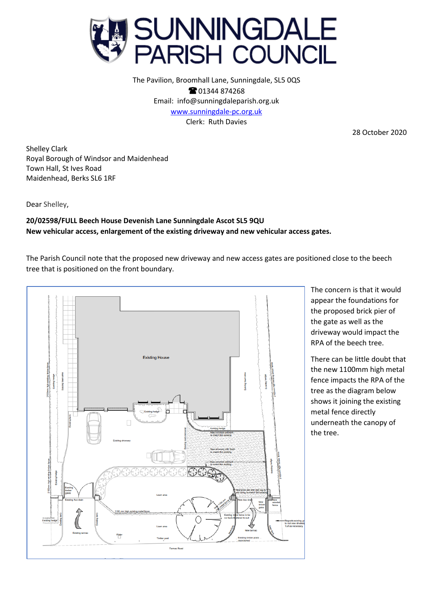

The Pavilion, Broomhall Lane, Sunningdale, SL5 0QS **@01344874268** Email: info@sunningdaleparish.org.uk [www.sunningdale-pc.org.uk](http://www.sunningdale-pc.org.uk/) Clerk: Ruth Davies

28 October 2020

Shelley Clark Royal Borough of Windsor and Maidenhead Town Hall, St Ives Road Maidenhead, Berks SL6 1RF

Dear Shelley,

## **20/02598/FULL Beech House Devenish Lane Sunningdale Ascot SL5 9QU New vehicular access, enlargement of the existing driveway and new vehicular access gates.**

The Parish Council note that the proposed new driveway and new access gates are positioned close to the beech tree that is positioned on the front boundary.



The concern is that it would appear the foundations for the proposed brick pier of the gate as well as the driveway would impact the RPA of the beech tree.

There can be little doubt that the new 1100mm high metal fence impacts the RPA of the tree as the diagram below shows it joining the existing metal fence directly underneath the canopy of the tree.